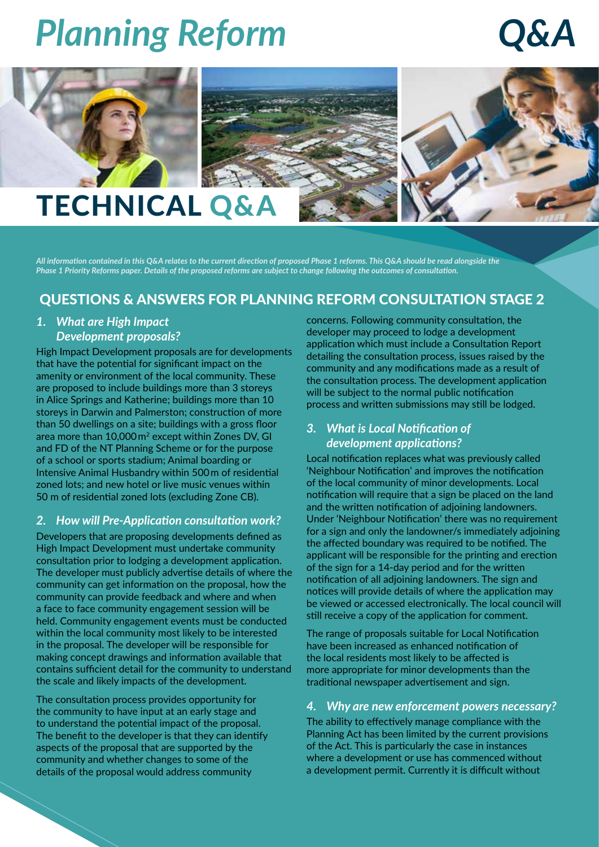# *Q&A*







### TECHNICAL Q&A

All information contained in this Q&A relates to the current direction of proposed Phase 1 reforms. This Q&A should be read alongside the Phase 1 Priority Reforms paper. Details of the proposed reforms are subject to change following the outcomes of consultation.

### QUESTIONS & ANSWERS FOR PLANNING REFORM CONSULTATION STAGE 2

### *1. What are High Impact Development proposals?*

High Impact Development proposals are for developments that have the potential for significant impact on the amenity or environment of the local community. These are proposed to include buildings more than 3 storeys in Alice Springs and Katherine; buildings more than 10 storeys in Darwin and Palmerston; construction of more than 50 dwellings on a site; buildings with a gross floor area more than 10,000 m2 except within Zones DV, GI and FD of the NT Planning Scheme or for the purpose of a school or sports stadium; Animal boarding or Intensive Animal Husbandry within 500 m of residential zoned lots; and new hotel or live music venues within 50 m of residential zoned lots (excluding Zone CB).

### *2. How will Pre-Application consultation work?*

Developers that are proposing developments defined as High Impact Development must undertake community consultation prior to lodging a development application. The developer must publicly advertise details of where the community can get information on the proposal, how the community can provide feedback and where and when a face to face community engagement session will be held. Community engagement events must be conducted within the local community most likely to be interested in the proposal. The developer will be responsible for making concept drawings and information available that contains sufficient detail for the community to understand the scale and likely impacts of the development.

The consultation process provides opportunity for the community to have input at an early stage and to understand the potential impact of the proposal. The benefit to the developer is that they can identify aspects of the proposal that are supported by the community and whether changes to some of the details of the proposal would address community

concerns. Following community consultation, the developer may proceed to lodge a development application which must include a Consultation Report detailing the consultation process, issues raised by the community and any modifications made as a result of the consultation process. The development application will be subject to the normal public notification process and written submissions may still be lodged.

### *3. What is Local Notification of development applications?*

Local notification replaces what was previously called 'Neighbour Notification' and improves the notification of the local community of minor developments. Local notification will require that a sign be placed on the land and the written notification of adjoining landowners. Under 'Neighbour Notification' there was no requirement for a sign and only the landowner/s immediately adjoining the affected boundary was required to be notified. The applicant will be responsible for the printing and erection of the sign for a 14-day period and for the written notification of all adjoining landowners. The sign and notices will provide details of where the application may be viewed or accessed electronically. The local council will still receive a copy of the application for comment.

The range of proposals suitable for Local Notification have been increased as enhanced notification of the local residents most likely to be affected is more appropriate for minor developments than the traditional newspaper advertisement and sign.

#### *4. Why are new enforcement powers necessary?*

The ability to effectively manage compliance with the Planning Act has been limited by the current provisions of the Act. This is particularly the case in instances where a development or use has commenced without a development permit. Currently it is difficult without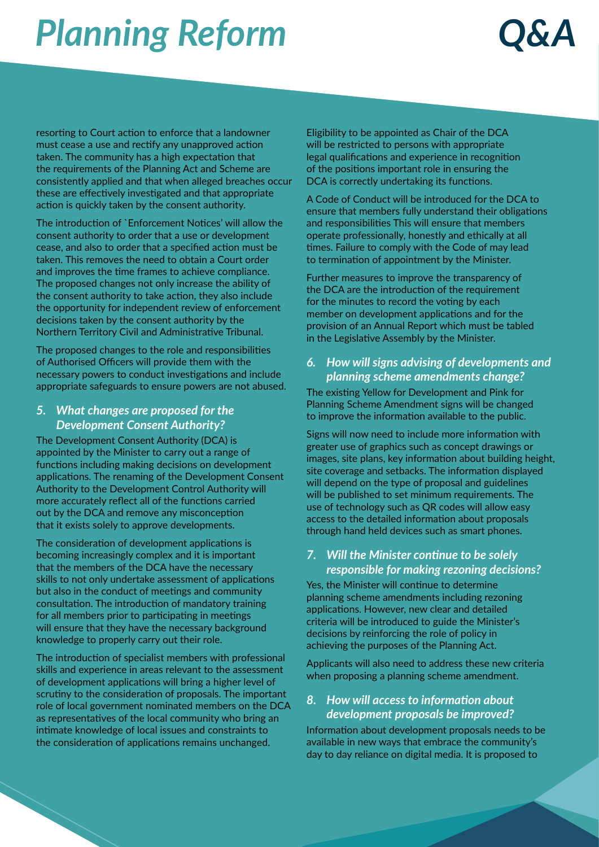### *Q&A*

resorting to Court action to enforce that a landowner must cease a use and rectify any unapproved action taken. The community has a high expectation that the requirements of the Planning Act and Scheme are consistently applied and that when alleged breaches occur these are effectively investigated and that appropriate action is quickly taken by the consent authority.

The introduction of `Enforcement Notices' will allow the consent authority to order that a use or development cease, and also to order that a specified action must be taken. This removes the need to obtain a Court order and improves the time frames to achieve compliance. The proposed changes not only increase the ability of the consent authority to take action, they also include the opportunity for independent review of enforcement decisions taken by the consent authority by the Northern Territory Civil and Administrative Tribunal.

The proposed changes to the role and responsibilities of Authorised Officers will provide them with the necessary powers to conduct investigations and include appropriate safeguards to ensure powers are not abused.

### *5. What changes are proposed for the Development Consent Authority?*

The Development Consent Authority (DCA) is appointed by the Minister to carry out a range of functions including making decisions on development applications. The renaming of the Development Consent Authority to the Development Control Authority will more accurately reflect all of the functions carried out by the DCA and remove any misconception that it exists solely to approve developments.

The consideration of development applications is becoming increasingly complex and it is important that the members of the DCA have the necessary skills to not only undertake assessment of applications but also in the conduct of meetings and community consultation. The introduction of mandatory training for all members prior to participating in meetings will ensure that they have the necessary background knowledge to properly carry out their role.

The introduction of specialist members with professional skills and experience in areas relevant to the assessment of development applications will bring a higher level of scrutiny to the consideration of proposals. The important role of local government nominated members on the DCA as representatives of the local community who bring an intimate knowledge of local issues and constraints to the consideration of applications remains unchanged.

Eligibility to be appointed as Chair of the DCA will be restricted to persons with appropriate legal qualifications and experience in recognition of the positions important role in ensuring the DCA is correctly undertaking its functions.

A Code of Conduct will be introduced for the DCA to ensure that members fully understand their obligations and responsibilities This will ensure that members operate professionally, honestly and ethically at all times. Failure to comply with the Code of may lead to termination of appointment by the Minister.

Further measures to improve the transparency of the DCA are the introduction of the requirement for the minutes to record the voting by each member on development applications and for the provision of an Annual Report which must be tabled in the Legislative Assembly by the Minister.

#### *6. How will signs advising of developments and planning scheme amendments change?*

The existing Yellow for Development and Pink for Planning Scheme Amendment signs will be changed to improve the information available to the public.

Signs will now need to include more information with greater use of graphics such as concept drawings or images, site plans, key information about building height, site coverage and setbacks. The information displayed will depend on the type of proposal and guidelines will be published to set minimum requirements. The use of technology such as QR codes will allow easy access to the detailed information about proposals through hand held devices such as smart phones.

### *7. Will the Minister continue to be solely responsible for making rezoning decisions?*

Yes, the Minister will continue to determine planning scheme amendments including rezoning applications. However, new clear and detailed criteria will be introduced to guide the Minister's decisions by reinforcing the role of policy in achieving the purposes of the Planning Act.

Applicants will also need to address these new criteria when proposing a planning scheme amendment.

### *8. How will access to information about development proposals be improved?*

Information about development proposals needs to be available in new ways that embrace the community's day to day reliance on digital media. It is proposed to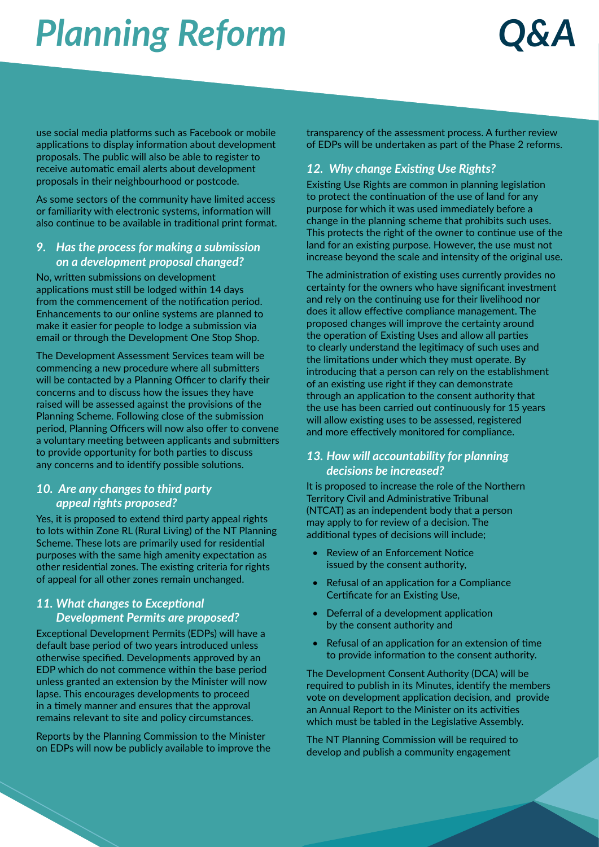### *Q&A*

use social media platforms such as Facebook or mobile applications to display information about development proposals. The public will also be able to register to receive automatic email alerts about development proposals in their neighbourhood or postcode.

As some sectors of the community have limited access or familiarity with electronic systems, information will also continue to be available in traditional print format.

### *9. Has the process for making a submission on a development proposal changed?*

No, written submissions on development applications must still be lodged within 14 days from the commencement of the notification period. Enhancements to our online systems are planned to make it easier for people to lodge a submission via email or through the Development One Stop Shop.

The Development Assessment Services team will be commencing a new procedure where all submitters will be contacted by a Planning Officer to clarify their concerns and to discuss how the issues they have raised will be assessed against the provisions of the Planning Scheme. Following close of the submission period, Planning Officers will now also offer to convene a voluntary meeting between applicants and submitters to provide opportunity for both parties to discuss any concerns and to identify possible solutions.

#### *10. Are any changes to third party appeal rights proposed?*

Yes, it is proposed to extend third party appeal rights to lots within Zone RL (Rural Living) of the NT Planning Scheme. These lots are primarily used for residential purposes with the same high amenity expectation as other residential zones. The existing criteria for rights of appeal for all other zones remain unchanged.

### *11. What changes to Exceptional Development Permits are proposed?*

Exceptional Development Permits (EDPs) will have a default base period of two years introduced unless otherwise specified. Developments approved by an EDP which do not commence within the base period unless granted an extension by the Minister will now lapse. This encourages developments to proceed in a timely manner and ensures that the approval remains relevant to site and policy circumstances.

Reports by the Planning Commission to the Minister on EDPs will now be publicly available to improve the transparency of the assessment process. A further review of EDPs will be undertaken as part of the Phase 2 reforms.

### *12. Why change Existing Use Rights?*

Existing Use Rights are common in planning legislation to protect the continuation of the use of land for any purpose for which it was used immediately before a change in the planning scheme that prohibits such uses. This protects the right of the owner to continue use of the land for an existing purpose. However, the use must not increase beyond the scale and intensity of the original use.

The administration of existing uses currently provides no certainty for the owners who have significant investment and rely on the continuing use for their livelihood nor does it allow effective compliance management. The proposed changes will improve the certainty around the operation of Existing Uses and allow all parties to clearly understand the legitimacy of such uses and the limitations under which they must operate. By introducing that a person can rely on the establishment of an existing use right if they can demonstrate through an application to the consent authority that the use has been carried out continuously for 15 years will allow existing uses to be assessed, registered and more effectively monitored for compliance.

#### *13. How will accountability for planning decisions be increased?*

It is proposed to increase the role of the Northern Territory Civil and Administrative Tribunal (NTCAT) as an independent body that a person may apply to for review of a decision. The additional types of decisions will include;

- Review of an Enforcement Notice issued by the consent authority,
- Refusal of an application for a Compliance Certificate for an Existing Use,
- Deferral of a development application by the consent authority and
- Refusal of an application for an extension of time to provide information to the consent authority.

The Development Consent Authority (DCA) will be required to publish in its Minutes, identify the members vote on development application decision, and provide an Annual Report to the Minister on its activities which must be tabled in the Legislative Assembly.

The NT Planning Commission will be required to develop and publish a community engagement